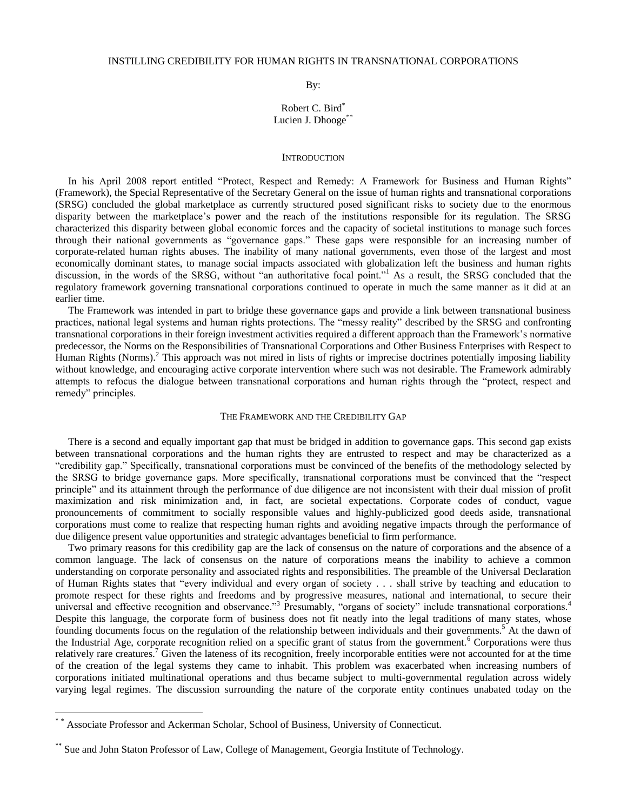By:

# Robert C. Bird\* Lucien J. Dhooge\*\*

### **INTRODUCTION**

 In his April 2008 report entitled "Protect, Respect and Remedy: A Framework for Business and Human Rights" (Framework), the Special Representative of the Secretary General on the issue of human rights and transnational corporations (SRSG) concluded the global marketplace as currently structured posed significant risks to society due to the enormous disparity between the marketplace"s power and the reach of the institutions responsible for its regulation. The SRSG characterized this disparity between global economic forces and the capacity of societal institutions to manage such forces through their national governments as "governance gaps." These gaps were responsible for an increasing number of corporate-related human rights abuses. The inability of many national governments, even those of the largest and most economically dominant states, to manage social impacts associated with globalization left the business and human rights discussion, in the words of the SRSG, without "an authoritative focal point."<sup>1</sup> As a result, the SRSG concluded that the regulatory framework governing transnational corporations continued to operate in much the same manner as it did at an earlier time.

 The Framework was intended in part to bridge these governance gaps and provide a link between transnational business practices, national legal systems and human rights protections. The "messy reality" described by the SRSG and confronting transnational corporations in their foreign investment activities required a different approach than the Framework"s normative predecessor, the Norms on the Responsibilities of Transnational Corporations and Other Business Enterprises with Respect to Human Rights (Norms).<sup>2</sup> This approach was not mired in lists of rights or imprecise doctrines potentially imposing liability without knowledge, and encouraging active corporate intervention where such was not desirable. The Framework admirably attempts to refocus the dialogue between transnational corporations and human rights through the "protect, respect and remedy" principles.

# THE FRAMEWORK AND THE CREDIBILITY GAP

 There is a second and equally important gap that must be bridged in addition to governance gaps. This second gap exists between transnational corporations and the human rights they are entrusted to respect and may be characterized as a "credibility gap." Specifically, transnational corporations must be convinced of the benefits of the methodology selected by the SRSG to bridge governance gaps. More specifically, transnational corporations must be convinced that the "respect principle" and its attainment through the performance of due diligence are not inconsistent with their dual mission of profit maximization and risk minimization and, in fact, are societal expectations. Corporate codes of conduct, vague pronouncements of commitment to socially responsible values and highly-publicized good deeds aside, transnational corporations must come to realize that respecting human rights and avoiding negative impacts through the performance of due diligence present value opportunities and strategic advantages beneficial to firm performance.

 Two primary reasons for this credibility gap are the lack of consensus on the nature of corporations and the absence of a common language. The lack of consensus on the nature of corporations means the inability to achieve a common understanding on corporate personality and associated rights and responsibilities. The preamble of the Universal Declaration of Human Rights states that "every individual and every organ of society . . . shall strive by teaching and education to promote respect for these rights and freedoms and by progressive measures, national and international, to secure their universal and effective recognition and observance."<sup>3</sup> Presumably, "organs of society" include transnational corporations.<sup>4</sup> Despite this language, the corporate form of business does not fit neatly into the legal traditions of many states, whose founding documents focus on the regulation of the relationship between individuals and their governments.<sup>5</sup> At the dawn of the Industrial Age, corporate recognition relied on a specific grant of status from the government.<sup>6</sup> Corporations were thus relatively rare creatures.<sup>7</sup> Given the lateness of its recognition, freely incorporable entities were not accounted for at the time of the creation of the legal systems they came to inhabit. This problem was exacerbated when increasing numbers of corporations initiated multinational operations and thus became subject to multi-governmental regulation across widely varying legal regimes. The discussion surrounding the nature of the corporate entity continues unabated today on the

 $\overline{\phantom{a}}$ 

<sup>\*</sup> \* Associate Professor and Ackerman Scholar, School of Business, University of Connecticut.

<sup>\*\*</sup> Sue and John Staton Professor of Law, College of Management, Georgia Institute of Technology.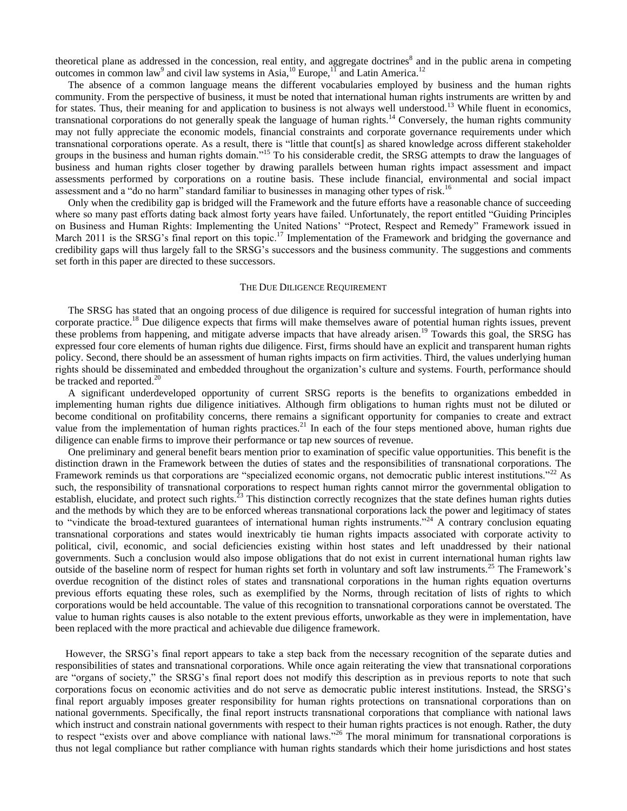theoretical plane as addressed in the concession, real entity, and aggregate doctrines<sup>8</sup> and in the public arena in competing outcomes in common law<sup>9</sup> and civil law systems in Asia,  $^{10}$  Europe,  $^{11}$  and Latin America.<sup>12</sup>

 The absence of a common language means the different vocabularies employed by business and the human rights community. From the perspective of business, it must be noted that international human rights instruments are written by and for states. Thus, their meaning for and application to business is not always well understood.<sup>13</sup> While fluent in economics, transnational corporations do not generally speak the language of human rights.<sup>14</sup> Conversely, the human rights community may not fully appreciate the economic models, financial constraints and corporate governance requirements under which transnational corporations operate. As a result, there is "little that count[s] as shared knowledge across different stakeholder groups in the business and human rights domain."<sup>15</sup> To his considerable credit, the SRSG attempts to draw the languages of business and human rights closer together by drawing parallels between human rights impact assessment and impact assessments performed by corporations on a routine basis. These include financial, environmental and social impact assessment and a "do no harm" standard familiar to businesses in managing other types of risk.<sup>16</sup>

 Only when the credibility gap is bridged will the Framework and the future efforts have a reasonable chance of succeeding where so many past efforts dating back almost forty years have failed. Unfortunately, the report entitled "Guiding Principles on Business and Human Rights: Implementing the United Nations" "Protect, Respect and Remedy" Framework issued in March 2011 is the SRSG's final report on this topic.<sup>17</sup> Implementation of the Framework and bridging the governance and credibility gaps will thus largely fall to the SRSG"s successors and the business community. The suggestions and comments set forth in this paper are directed to these successors.

# THE DUE DILIGENCE REQUIREMENT

 The SRSG has stated that an ongoing process of due diligence is required for successful integration of human rights into corporate practice.<sup>18</sup> Due diligence expects that firms will make themselves aware of potential human rights issues, prevent these problems from happening, and mitigate adverse impacts that have already arisen.<sup>19</sup> Towards this goal, the SRSG has expressed four core elements of human rights due diligence. First, firms should have an explicit and transparent human rights policy. Second, there should be an assessment of human rights impacts on firm activities. Third, the values underlying human rights should be disseminated and embedded throughout the organization"s culture and systems. Fourth, performance should be tracked and reported. $^{20}$ 

 A significant underdeveloped opportunity of current SRSG reports is the benefits to organizations embedded in implementing human rights due diligence initiatives. Although firm obligations to human rights must not be diluted or become conditional on profitability concerns, there remains a significant opportunity for companies to create and extract value from the implementation of human rights practices.<sup>21</sup> In each of the four steps mentioned above, human rights due diligence can enable firms to improve their performance or tap new sources of revenue.

 One preliminary and general benefit bears mention prior to examination of specific value opportunities. This benefit is the distinction drawn in the Framework between the duties of states and the responsibilities of transnational corporations. The Framework reminds us that corporations are "specialized economic organs, not democratic public interest institutions."<sup>22</sup> As such, the responsibility of transnational corporations to respect human rights cannot mirror the governmental obligation to establish, elucidate, and protect such rights.<sup>23</sup> This distinction correctly recognizes that the state defines human rights duties and the methods by which they are to be enforced whereas transnational corporations lack the power and legitimacy of states to "vindicate the broad-textured guarantees of international human rights instruments."<sup>24</sup> A contrary conclusion equating transnational corporations and states would inextricably tie human rights impacts associated with corporate activity to political, civil, economic, and social deficiencies existing within host states and left unaddressed by their national governments. Such a conclusion would also impose obligations that do not exist in current international human rights law outside of the baseline norm of respect for human rights set forth in voluntary and soft law instruments.<sup>25</sup> The Framework's overdue recognition of the distinct roles of states and transnational corporations in the human rights equation overturns previous efforts equating these roles, such as exemplified by the Norms, through recitation of lists of rights to which corporations would be held accountable. The value of this recognition to transnational corporations cannot be overstated. The value to human rights causes is also notable to the extent previous efforts, unworkable as they were in implementation, have been replaced with the more practical and achievable due diligence framework.

 However, the SRSG"s final report appears to take a step back from the necessary recognition of the separate duties and responsibilities of states and transnational corporations. While once again reiterating the view that transnational corporations are "organs of society," the SRSG"s final report does not modify this description as in previous reports to note that such corporations focus on economic activities and do not serve as democratic public interest institutions. Instead, the SRSG"s final report arguably imposes greater responsibility for human rights protections on transnational corporations than on national governments. Specifically, the final report instructs transnational corporations that compliance with national laws which instruct and constrain national governments with respect to their human rights practices is not enough. Rather, the duty to respect "exists over and above compliance with national laws."<sup>26</sup> The moral minimum for transnational corporations is thus not legal compliance but rather compliance with human rights standards which their home jurisdictions and host states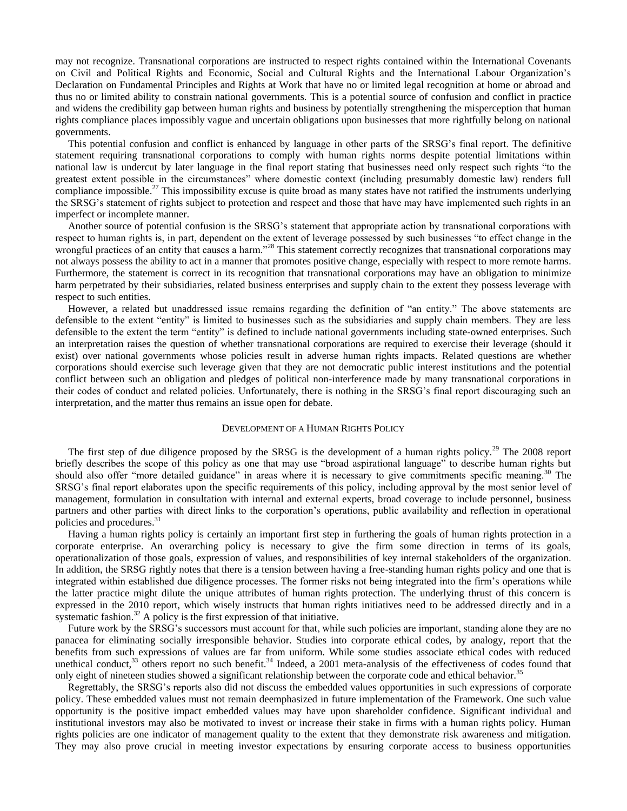may not recognize. Transnational corporations are instructed to respect rights contained within the International Covenants on Civil and Political Rights and Economic, Social and Cultural Rights and the International Labour Organization"s Declaration on Fundamental Principles and Rights at Work that have no or limited legal recognition at home or abroad and thus no or limited ability to constrain national governments. This is a potential source of confusion and conflict in practice and widens the credibility gap between human rights and business by potentially strengthening the misperception that human rights compliance places impossibly vague and uncertain obligations upon businesses that more rightfully belong on national governments.

 This potential confusion and conflict is enhanced by language in other parts of the SRSG"s final report. The definitive statement requiring transnational corporations to comply with human rights norms despite potential limitations within national law is undercut by later language in the final report stating that businesses need only respect such rights "to the greatest extent possible in the circumstances" where domestic context (including presumably domestic law) renders full compliance impossible.<sup>27</sup> This impossibility excuse is quite broad as many states have not ratified the instruments underlying the SRSG"s statement of rights subject to protection and respect and those that have may have implemented such rights in an imperfect or incomplete manner.

 Another source of potential confusion is the SRSG"s statement that appropriate action by transnational corporations with respect to human rights is, in part, dependent on the extent of leverage possessed by such businesses "to effect change in the wrongful practices of an entity that causes a harm."<sup>28</sup> This statement correctly recognizes that transnational corporations may not always possess the ability to act in a manner that promotes positive change, especially with respect to more remote harms. Furthermore, the statement is correct in its recognition that transnational corporations may have an obligation to minimize harm perpetrated by their subsidiaries, related business enterprises and supply chain to the extent they possess leverage with respect to such entities.

 However, a related but unaddressed issue remains regarding the definition of "an entity." The above statements are defensible to the extent "entity" is limited to businesses such as the subsidiaries and supply chain members. They are less defensible to the extent the term "entity" is defined to include national governments including state-owned enterprises. Such an interpretation raises the question of whether transnational corporations are required to exercise their leverage (should it exist) over national governments whose policies result in adverse human rights impacts. Related questions are whether corporations should exercise such leverage given that they are not democratic public interest institutions and the potential conflict between such an obligation and pledges of political non-interference made by many transnational corporations in their codes of conduct and related policies. Unfortunately, there is nothing in the SRSG"s final report discouraging such an interpretation, and the matter thus remains an issue open for debate.

# DEVELOPMENT OF A HUMAN RIGHTS POLICY

The first step of due diligence proposed by the SRSG is the development of a human rights policy.<sup>29</sup> The 2008 report briefly describes the scope of this policy as one that may use "broad aspirational language" to describe human rights but should also offer "more detailed guidance" in areas where it is necessary to give commitments specific meaning.<sup>30</sup> The SRSG"s final report elaborates upon the specific requirements of this policy, including approval by the most senior level of management, formulation in consultation with internal and external experts, broad coverage to include personnel, business partners and other parties with direct links to the corporation"s operations, public availability and reflection in operational policies and procedures.<sup>31</sup>

 Having a human rights policy is certainly an important first step in furthering the goals of human rights protection in a corporate enterprise. An overarching policy is necessary to give the firm some direction in terms of its goals, operationalization of those goals, expression of values, and responsibilities of key internal stakeholders of the organization. In addition, the SRSG rightly notes that there is a tension between having a free-standing human rights policy and one that is integrated within established due diligence processes. The former risks not being integrated into the firm"s operations while the latter practice might dilute the unique attributes of human rights protection. The underlying thrust of this concern is expressed in the 2010 report, which wisely instructs that human rights initiatives need to be addressed directly and in a systematic fashion.<sup>32</sup> A policy is the first expression of that initiative.

Future work by the SRSG's successors must account for that, while such policies are important, standing alone they are no panacea for eliminating socially irresponsible behavior. Studies into corporate ethical codes, by analogy, report that the benefits from such expressions of values are far from uniform. While some studies associate ethical codes with reduced unethical conduct, $33$  others report no such benefit. $34$  Indeed, a 2001 meta-analysis of the effectiveness of codes found that only eight of nineteen studies showed a significant relationship between the corporate code and ethical behavior.<sup>35</sup>

 Regrettably, the SRSG"s reports also did not discuss the embedded values opportunities in such expressions of corporate policy. These embedded values must not remain deemphasized in future implementation of the Framework. One such value opportunity is the positive impact embedded values may have upon shareholder confidence. Significant individual and institutional investors may also be motivated to invest or increase their stake in firms with a human rights policy. Human rights policies are one indicator of management quality to the extent that they demonstrate risk awareness and mitigation. They may also prove crucial in meeting investor expectations by ensuring corporate access to business opportunities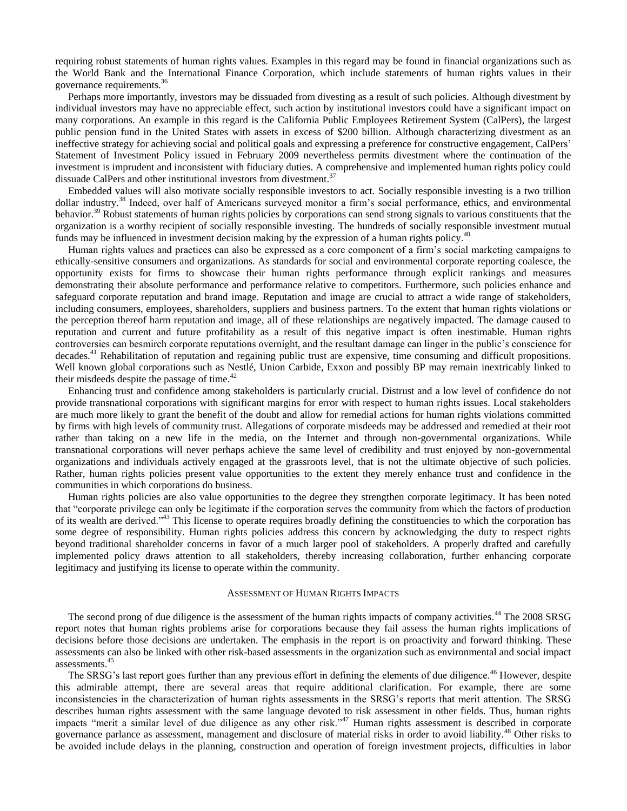requiring robust statements of human rights values. Examples in this regard may be found in financial organizations such as the World Bank and the International Finance Corporation, which include statements of human rights values in their governance requirements.<sup>36</sup>

 Perhaps more importantly, investors may be dissuaded from divesting as a result of such policies. Although divestment by individual investors may have no appreciable effect, such action by institutional investors could have a significant impact on many corporations. An example in this regard is the California Public Employees Retirement System (CalPers), the largest public pension fund in the United States with assets in excess of \$200 billion. Although characterizing divestment as an ineffective strategy for achieving social and political goals and expressing a preference for constructive engagement, CalPers" Statement of Investment Policy issued in February 2009 nevertheless permits divestment where the continuation of the investment is imprudent and inconsistent with fiduciary duties. A comprehensive and implemented human rights policy could dissuade CalPers and other institutional investors from divestment.<sup>37</sup>

 Embedded values will also motivate socially responsible investors to act. Socially responsible investing is a two trillion dollar industry.<sup>38</sup> Indeed, over half of Americans surveyed monitor a firm's social performance, ethics, and environmental behavior.<sup>39</sup> Robust statements of human rights policies by corporations can send strong signals to various constituents that the organization is a worthy recipient of socially responsible investing. The hundreds of socially responsible investment mutual funds may be influenced in investment decision making by the expression of a human rights policy.<sup>40</sup>

 Human rights values and practices can also be expressed as a core component of a firm"s social marketing campaigns to ethically-sensitive consumers and organizations. As standards for social and environmental corporate reporting coalesce, the opportunity exists for firms to showcase their human rights performance through explicit rankings and measures demonstrating their absolute performance and performance relative to competitors. Furthermore, such policies enhance and safeguard corporate reputation and brand image. Reputation and image are crucial to attract a wide range of stakeholders, including consumers, employees, shareholders, suppliers and business partners. To the extent that human rights violations or the perception thereof harm reputation and image, all of these relationships are negatively impacted. The damage caused to reputation and current and future profitability as a result of this negative impact is often inestimable. Human rights controversies can besmirch corporate reputations overnight, and the resultant damage can linger in the public"s conscience for decades.<sup>41</sup> Rehabilitation of reputation and regaining public trust are expensive, time consuming and difficult propositions. Well known global corporations such as Nestlé, Union Carbide, Exxon and possibly BP may remain inextricably linked to their misdeeds despite the passage of time.<sup>42</sup>

 Enhancing trust and confidence among stakeholders is particularly crucial. Distrust and a low level of confidence do not provide transnational corporations with significant margins for error with respect to human rights issues. Local stakeholders are much more likely to grant the benefit of the doubt and allow for remedial actions for human rights violations committed by firms with high levels of community trust. Allegations of corporate misdeeds may be addressed and remedied at their root rather than taking on a new life in the media, on the Internet and through non-governmental organizations. While transnational corporations will never perhaps achieve the same level of credibility and trust enjoyed by non-governmental organizations and individuals actively engaged at the grassroots level, that is not the ultimate objective of such policies. Rather, human rights policies present value opportunities to the extent they merely enhance trust and confidence in the communities in which corporations do business.

 Human rights policies are also value opportunities to the degree they strengthen corporate legitimacy. It has been noted that "corporate privilege can only be legitimate if the corporation serves the community from which the factors of production of its wealth are derived."<sup>43</sup> This license to operate requires broadly defining the constituencies to which the corporation has some degree of responsibility. Human rights policies address this concern by acknowledging the duty to respect rights beyond traditional shareholder concerns in favor of a much larger pool of stakeholders. A properly drafted and carefully implemented policy draws attention to all stakeholders, thereby increasing collaboration, further enhancing corporate legitimacy and justifying its license to operate within the community.

### ASSESSMENT OF HUMAN RIGHTS IMPACTS

The second prong of due diligence is the assessment of the human rights impacts of company activities.<sup>44</sup> The 2008 SRSG report notes that human rights problems arise for corporations because they fail assess the human rights implications of decisions before those decisions are undertaken. The emphasis in the report is on proactivity and forward thinking. These assessments can also be linked with other risk-based assessments in the organization such as environmental and social impact assessments.<sup>45</sup>

The SRSG's last report goes further than any previous effort in defining the elements of due diligence.<sup>46</sup> However, despite this admirable attempt, there are several areas that require additional clarification. For example, there are some inconsistencies in the characterization of human rights assessments in the SRSG"s reports that merit attention. The SRSG describes human rights assessment with the same language devoted to risk assessment in other fields. Thus, human rights impacts "merit a similar level of due diligence as any other risk."<sup>47</sup> Human rights assessment is described in corporate governance parlance as assessment, management and disclosure of material risks in order to avoid liability.<sup>48</sup> Other risks to be avoided include delays in the planning, construction and operation of foreign investment projects, difficulties in labor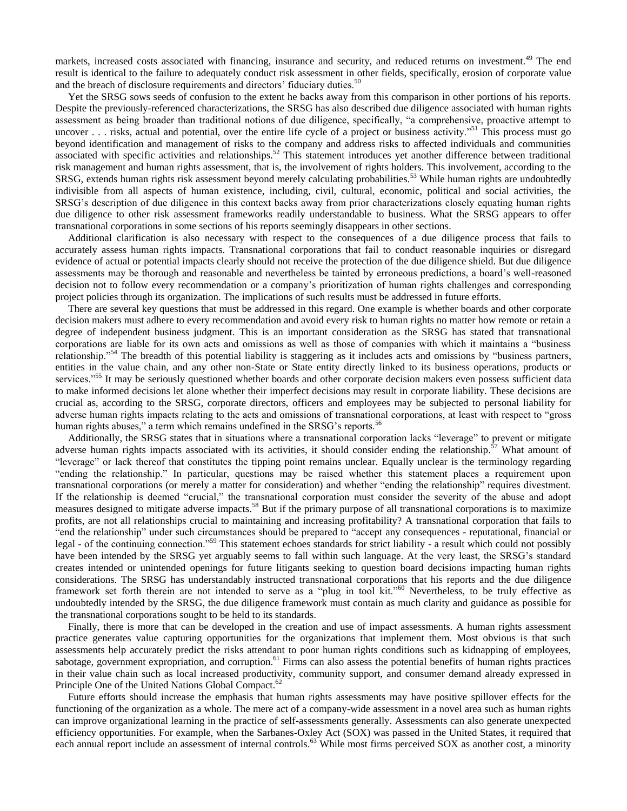markets, increased costs associated with financing, insurance and security, and reduced returns on investment.<sup>49</sup> The end result is identical to the failure to adequately conduct risk assessment in other fields, specifically, erosion of corporate value and the breach of disclosure requirements and directors' fiduciary duties.<sup>50</sup>

 Yet the SRSG sows seeds of confusion to the extent he backs away from this comparison in other portions of his reports. Despite the previously-referenced characterizations, the SRSG has also described due diligence associated with human rights assessment as being broader than traditional notions of due diligence, specifically, "a comprehensive, proactive attempt to uncover . . . risks, actual and potential, over the entire life cycle of a project or business activity."<sup>51</sup> This process must go beyond identification and management of risks to the company and address risks to affected individuals and communities associated with specific activities and relationships.<sup>52</sup> This statement introduces yet another difference between traditional risk management and human rights assessment, that is, the involvement of rights holders. This involvement, according to the SRSG, extends human rights risk assessment beyond merely calculating probabilities.<sup>53</sup> While human rights are undoubtedly indivisible from all aspects of human existence, including, civil, cultural, economic, political and social activities, the SRSG"s description of due diligence in this context backs away from prior characterizations closely equating human rights due diligence to other risk assessment frameworks readily understandable to business. What the SRSG appears to offer transnational corporations in some sections of his reports seemingly disappears in other sections.

 Additional clarification is also necessary with respect to the consequences of a due diligence process that fails to accurately assess human rights impacts. Transnational corporations that fail to conduct reasonable inquiries or disregard evidence of actual or potential impacts clearly should not receive the protection of the due diligence shield. But due diligence assessments may be thorough and reasonable and nevertheless be tainted by erroneous predictions, a board"s well-reasoned decision not to follow every recommendation or a company"s prioritization of human rights challenges and corresponding project policies through its organization. The implications of such results must be addressed in future efforts.

 There are several key questions that must be addressed in this regard. One example is whether boards and other corporate decision makers must adhere to every recommendation and avoid every risk to human rights no matter how remote or retain a degree of independent business judgment. This is an important consideration as the SRSG has stated that transnational corporations are liable for its own acts and omissions as well as those of companies with which it maintains a "business relationship."<sup>54</sup> The breadth of this potential liability is staggering as it includes acts and omissions by "business partners, entities in the value chain, and any other non-State or State entity directly linked to its business operations, products or services."<sup>55</sup> It may be seriously questioned whether boards and other corporate decision makers even possess sufficient data to make informed decisions let alone whether their imperfect decisions may result in corporate liability. These decisions are crucial as, according to the SRSG, corporate directors, officers and employees may be subjected to personal liability for adverse human rights impacts relating to the acts and omissions of transnational corporations, at least with respect to "gross human rights abuses," a term which remains undefined in the SRSG's reports.<sup>56</sup>

 Additionally, the SRSG states that in situations where a transnational corporation lacks "leverage" to prevent or mitigate adverse human rights impacts associated with its activities, it should consider ending the relationship.<sup>57</sup> What amount of "leverage" or lack thereof that constitutes the tipping point remains unclear. Equally unclear is the terminology regarding "ending the relationship." In particular, questions may be raised whether this statement places a requirement upon transnational corporations (or merely a matter for consideration) and whether "ending the relationship" requires divestment. If the relationship is deemed "crucial," the transnational corporation must consider the severity of the abuse and adopt measures designed to mitigate adverse impacts.<sup>58</sup> But if the primary purpose of all transnational corporations is to maximize profits, are not all relationships crucial to maintaining and increasing profitability? A transnational corporation that fails to "end the relationship" under such circumstances should be prepared to "accept any consequences - reputational, financial or legal - of the continuing connection."<sup>59</sup> This statement echoes standards for strict liability - a result which could not possibly have been intended by the SRSG yet arguably seems to fall within such language. At the very least, the SRSG's standard creates intended or unintended openings for future litigants seeking to question board decisions impacting human rights considerations. The SRSG has understandably instructed transnational corporations that his reports and the due diligence framework set forth therein are not intended to serve as a "plug in tool kit."<sup>60</sup> Nevertheless, to be truly effective as undoubtedly intended by the SRSG, the due diligence framework must contain as much clarity and guidance as possible for the transnational corporations sought to be held to its standards.

 Finally, there is more that can be developed in the creation and use of impact assessments. A human rights assessment practice generates value capturing opportunities for the organizations that implement them. Most obvious is that such assessments help accurately predict the risks attendant to poor human rights conditions such as kidnapping of employees, sabotage, government expropriation, and corruption.<sup>61</sup> Firms can also assess the potential benefits of human rights practices in their value chain such as local increased productivity, community support, and consumer demand already expressed in Principle One of the United Nations Global Compact.<sup>62</sup>

 Future efforts should increase the emphasis that human rights assessments may have positive spillover effects for the functioning of the organization as a whole. The mere act of a company-wide assessment in a novel area such as human rights can improve organizational learning in the practice of self-assessments generally. Assessments can also generate unexpected efficiency opportunities. For example, when the Sarbanes-Oxley Act (SOX) was passed in the United States, it required that each annual report include an assessment of internal controls.<sup>63</sup> While most firms perceived SOX as another cost, a minority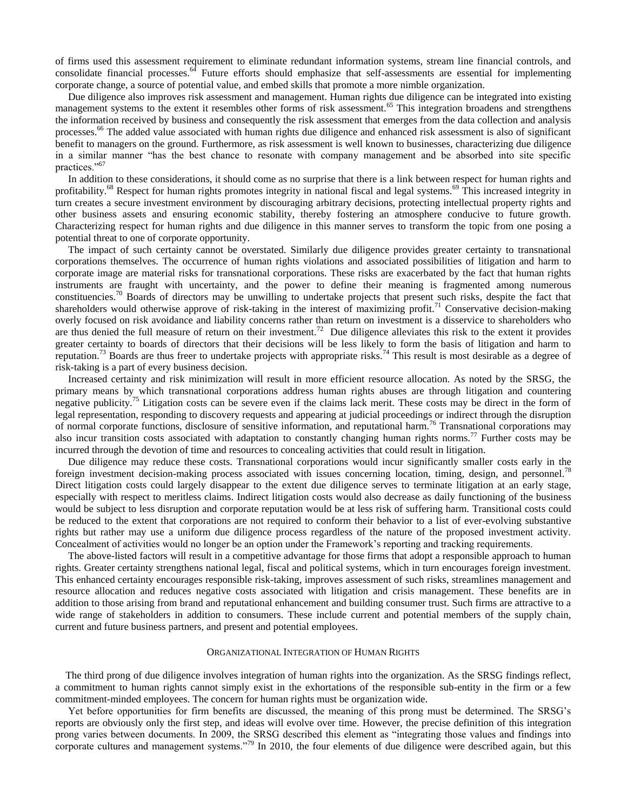of firms used this assessment requirement to eliminate redundant information systems, stream line financial controls, and consolidate financial processes.<sup>64</sup> Future efforts should emphasize that self-assessments are essential for implementing corporate change, a source of potential value, and embed skills that promote a more nimble organization.

 Due diligence also improves risk assessment and management. Human rights due diligence can be integrated into existing management systems to the extent it resembles other forms of risk assessment.<sup>65</sup> This integration broadens and strengthens the information received by business and consequently the risk assessment that emerges from the data collection and analysis processes.<sup>66</sup> The added value associated with human rights due diligence and enhanced risk assessment is also of significant benefit to managers on the ground. Furthermore, as risk assessment is well known to businesses, characterizing due diligence in a similar manner "has the best chance to resonate with company management and be absorbed into site specific practices."<sup>67</sup>

 In addition to these considerations, it should come as no surprise that there is a link between respect for human rights and profitability.<sup>68</sup> Respect for human rights promotes integrity in national fiscal and legal systems.<sup>69</sup> This increased integrity in turn creates a secure investment environment by discouraging arbitrary decisions, protecting intellectual property rights and other business assets and ensuring economic stability, thereby fostering an atmosphere conducive to future growth. Characterizing respect for human rights and due diligence in this manner serves to transform the topic from one posing a potential threat to one of corporate opportunity.

 The impact of such certainty cannot be overstated. Similarly due diligence provides greater certainty to transnational corporations themselves. The occurrence of human rights violations and associated possibilities of litigation and harm to corporate image are material risks for transnational corporations. These risks are exacerbated by the fact that human rights instruments are fraught with uncertainty, and the power to define their meaning is fragmented among numerous constituencies.<sup>70</sup> Boards of directors may be unwilling to undertake projects that present such risks, despite the fact that shareholders would otherwise approve of risk-taking in the interest of maximizing profit.<sup>71</sup> Conservative decision-making overly focused on risk avoidance and liability concerns rather than return on investment is a disservice to shareholders who are thus denied the full measure of return on their investment.<sup>72</sup> Due diligence alleviates this risk to the extent it provides greater certainty to boards of directors that their decisions will be less likely to form the basis of litigation and harm to reputation.<sup>73</sup> Boards are thus freer to undertake projects with appropriate risks.<sup>74</sup> This result is most desirable as a degree of risk-taking is a part of every business decision.

 Increased certainty and risk minimization will result in more efficient resource allocation. As noted by the SRSG, the primary means by which transnational corporations address human rights abuses are through litigation and countering negative publicity.<sup>75</sup> Litigation costs can be severe even if the claims lack merit. These costs may be direct in the form of legal representation, responding to discovery requests and appearing at judicial proceedings or indirect through the disruption of normal corporate functions, disclosure of sensitive information, and reputational harm.<sup>76</sup> Transnational corporations may also incur transition costs associated with adaptation to constantly changing human rights norms.<sup>77</sup> Further costs may be incurred through the devotion of time and resources to concealing activities that could result in litigation.

 Due diligence may reduce these costs. Transnational corporations would incur significantly smaller costs early in the foreign investment decision-making process associated with issues concerning location, timing, design, and personnel.<sup>78</sup> Direct litigation costs could largely disappear to the extent due diligence serves to terminate litigation at an early stage, especially with respect to meritless claims. Indirect litigation costs would also decrease as daily functioning of the business would be subject to less disruption and corporate reputation would be at less risk of suffering harm. Transitional costs could be reduced to the extent that corporations are not required to conform their behavior to a list of ever-evolving substantive rights but rather may use a uniform due diligence process regardless of the nature of the proposed investment activity. Concealment of activities would no longer be an option under the Framework"s reporting and tracking requirements.

 The above-listed factors will result in a competitive advantage for those firms that adopt a responsible approach to human rights. Greater certainty strengthens national legal, fiscal and political systems, which in turn encourages foreign investment. This enhanced certainty encourages responsible risk-taking, improves assessment of such risks, streamlines management and resource allocation and reduces negative costs associated with litigation and crisis management. These benefits are in addition to those arising from brand and reputational enhancement and building consumer trust. Such firms are attractive to a wide range of stakeholders in addition to consumers. These include current and potential members of the supply chain, current and future business partners, and present and potential employees.

# ORGANIZATIONAL INTEGRATION OF HUMAN RIGHTS

 The third prong of due diligence involves integration of human rights into the organization. As the SRSG findings reflect, a commitment to human rights cannot simply exist in the exhortations of the responsible sub-entity in the firm or a few commitment-minded employees. The concern for human rights must be organization wide.

 Yet before opportunities for firm benefits are discussed, the meaning of this prong must be determined. The SRSG"s reports are obviously only the first step, and ideas will evolve over time. However, the precise definition of this integration prong varies between documents. In 2009, the SRSG described this element as "integrating those values and findings into corporate cultures and management systems."<sup>79</sup> In 2010, the four elements of due diligence were described again, but this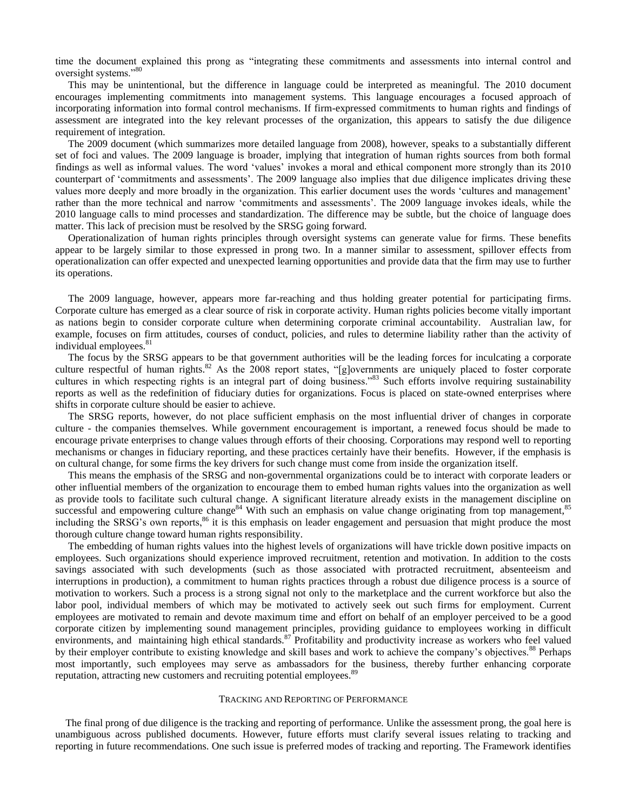time the document explained this prong as "integrating these commitments and assessments into internal control and oversight systems."<sup>80</sup>

 This may be unintentional, but the difference in language could be interpreted as meaningful. The 2010 document encourages implementing commitments into management systems. This language encourages a focused approach of incorporating information into formal control mechanisms. If firm-expressed commitments to human rights and findings of assessment are integrated into the key relevant processes of the organization, this appears to satisfy the due diligence requirement of integration.

 The 2009 document (which summarizes more detailed language from 2008), however, speaks to a substantially different set of foci and values. The 2009 language is broader, implying that integration of human rights sources from both formal findings as well as informal values. The word "values" invokes a moral and ethical component more strongly than its 2010 counterpart of "commitments and assessments". The 2009 language also implies that due diligence implicates driving these values more deeply and more broadly in the organization. This earlier document uses the words "cultures and management" rather than the more technical and narrow "commitments and assessments". The 2009 language invokes ideals, while the 2010 language calls to mind processes and standardization. The difference may be subtle, but the choice of language does matter. This lack of precision must be resolved by the SRSG going forward.

 Operationalization of human rights principles through oversight systems can generate value for firms. These benefits appear to be largely similar to those expressed in prong two. In a manner similar to assessment, spillover effects from operationalization can offer expected and unexpected learning opportunities and provide data that the firm may use to further its operations.

 The 2009 language, however, appears more far-reaching and thus holding greater potential for participating firms. Corporate culture has emerged as a clear source of risk in corporate activity. Human rights policies become vitally important as nations begin to consider corporate culture when determining corporate criminal accountability. Australian law, for example, focuses on firm attitudes, courses of conduct, policies, and rules to determine liability rather than the activity of individual employees.<sup>81</sup>

 The focus by the SRSG appears to be that government authorities will be the leading forces for inculcating a corporate culture respectful of human rights.<sup>82</sup> As the 2008 report states, "[g]overnments are uniquely placed to foster corporate cultures in which respecting rights is an integral part of doing business.<sup>83</sup> Such efforts involve requiring sustainability reports as well as the redefinition of fiduciary duties for organizations. Focus is placed on state-owned enterprises where shifts in corporate culture should be easier to achieve.

 The SRSG reports, however, do not place sufficient emphasis on the most influential driver of changes in corporate culture - the companies themselves. While government encouragement is important, a renewed focus should be made to encourage private enterprises to change values through efforts of their choosing. Corporations may respond well to reporting mechanisms or changes in fiduciary reporting, and these practices certainly have their benefits. However, if the emphasis is on cultural change, for some firms the key drivers for such change must come from inside the organization itself.

 This means the emphasis of the SRSG and non-governmental organizations could be to interact with corporate leaders or other influential members of the organization to encourage them to embed human rights values into the organization as well as provide tools to facilitate such cultural change. A significant literature already exists in the management discipline on successful and empowering culture change<sup>84</sup> With such an emphasis on value change originating from top management,<sup>85</sup> including the SRSG's own reports,<sup>86</sup> it is this emphasis on leader engagement and persuasion that might produce the most thorough culture change toward human rights responsibility.

 The embedding of human rights values into the highest levels of organizations will have trickle down positive impacts on employees. Such organizations should experience improved recruitment, retention and motivation. In addition to the costs savings associated with such developments (such as those associated with protracted recruitment, absenteeism and interruptions in production), a commitment to human rights practices through a robust due diligence process is a source of motivation to workers. Such a process is a strong signal not only to the marketplace and the current workforce but also the labor pool, individual members of which may be motivated to actively seek out such firms for employment. Current employees are motivated to remain and devote maximum time and effort on behalf of an employer perceived to be a good corporate citizen by implementing sound management principles, providing guidance to employees working in difficult environments, and maintaining high ethical standards.<sup>87</sup> Profitability and productivity increase as workers who feel valued by their employer contribute to existing knowledge and skill bases and work to achieve the company's objectives.<sup>88</sup> Perhaps most importantly, such employees may serve as ambassadors for the business, thereby further enhancing corporate reputation, attracting new customers and recruiting potential employees.<sup>8</sup>

## TRACKING AND REPORTING OF PERFORMANCE

 The final prong of due diligence is the tracking and reporting of performance. Unlike the assessment prong, the goal here is unambiguous across published documents. However, future efforts must clarify several issues relating to tracking and reporting in future recommendations. One such issue is preferred modes of tracking and reporting. The Framework identifies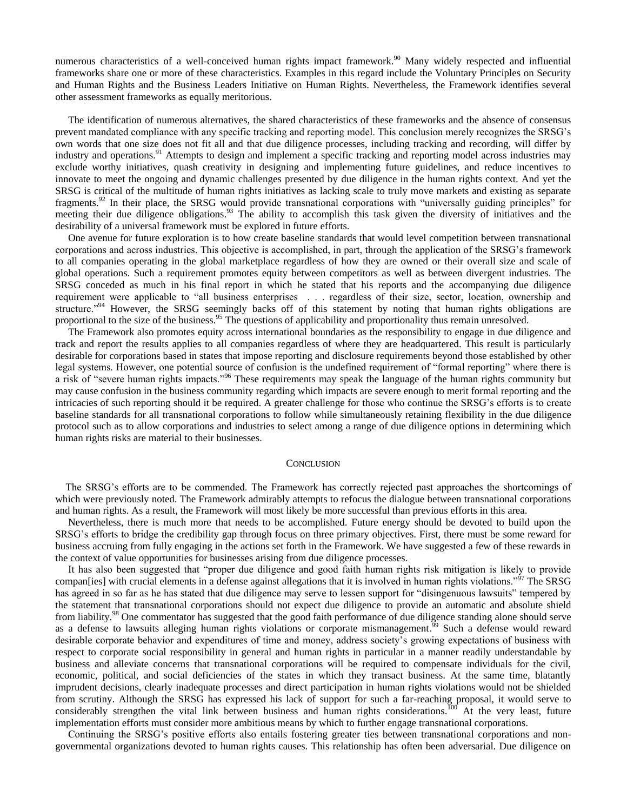numerous characteristics of a well-conceived human rights impact framework.<sup>90</sup> Many widely respected and influential frameworks share one or more of these characteristics. Examples in this regard include the Voluntary Principles on Security and Human Rights and the Business Leaders Initiative on Human Rights. Nevertheless, the Framework identifies several other assessment frameworks as equally meritorious.

 The identification of numerous alternatives, the shared characteristics of these frameworks and the absence of consensus prevent mandated compliance with any specific tracking and reporting model. This conclusion merely recognizes the SRSG"s own words that one size does not fit all and that due diligence processes, including tracking and recording, will differ by industry and operations.<sup>91</sup> Attempts to design and implement a specific tracking and reporting model across industries may exclude worthy initiatives, quash creativity in designing and implementing future guidelines, and reduce incentives to innovate to meet the ongoing and dynamic challenges presented by due diligence in the human rights context. And yet the SRSG is critical of the multitude of human rights initiatives as lacking scale to truly move markets and existing as separate fragments.<sup>92</sup> In their place, the SRSG would provide transnational corporations with "universally guiding principles" for meeting their due diligence obligations.<sup>93</sup> The ability to accomplish this task given the diversity of initiatives and the desirability of a universal framework must be explored in future efforts.

 One avenue for future exploration is to how create baseline standards that would level competition between transnational corporations and across industries. This objective is accomplished, in part, through the application of the SRSG"s framework to all companies operating in the global marketplace regardless of how they are owned or their overall size and scale of global operations. Such a requirement promotes equity between competitors as well as between divergent industries. The SRSG conceded as much in his final report in which he stated that his reports and the accompanying due diligence requirement were applicable to "all business enterprises . . . regardless of their size, sector, location, ownership and structure."<sup>94</sup> However, the SRSG seemingly backs off of this statement by noting that human rights obligations are proportional to the size of the business.<sup>95</sup> The questions of applicability and proportionality thus remain unresolved.

 The Framework also promotes equity across international boundaries as the responsibility to engage in due diligence and track and report the results applies to all companies regardless of where they are headquartered. This result is particularly desirable for corporations based in states that impose reporting and disclosure requirements beyond those established by other legal systems. However, one potential source of confusion is the undefined requirement of "formal reporting" where there is a risk of "severe human rights impacts."<sup>96</sup> These requirements may speak the language of the human rights community but may cause confusion in the business community regarding which impacts are severe enough to merit formal reporting and the intricacies of such reporting should it be required. A greater challenge for those who continue the SRSG"s efforts is to create baseline standards for all transnational corporations to follow while simultaneously retaining flexibility in the due diligence protocol such as to allow corporations and industries to select among a range of due diligence options in determining which human rights risks are material to their businesses.

#### **CONCLUSION**

 The SRSG"s efforts are to be commended. The Framework has correctly rejected past approaches the shortcomings of which were previously noted. The Framework admirably attempts to refocus the dialogue between transnational corporations and human rights. As a result, the Framework will most likely be more successful than previous efforts in this area.

 Nevertheless, there is much more that needs to be accomplished. Future energy should be devoted to build upon the SRSG"s efforts to bridge the credibility gap through focus on three primary objectives. First, there must be some reward for business accruing from fully engaging in the actions set forth in the Framework. We have suggested a few of these rewards in the context of value opportunities for businesses arising from due diligence processes.

 It has also been suggested that "proper due diligence and good faith human rights risk mitigation is likely to provide compan[ies] with crucial elements in a defense against allegations that it is involved in human rights violations."<sup>97</sup> The SRSG has agreed in so far as he has stated that due diligence may serve to lessen support for "disingenuous lawsuits" tempered by the statement that transnational corporations should not expect due diligence to provide an automatic and absolute shield from liability.<sup>98</sup> One commentator has suggested that the good faith performance of due diligence standing alone should serve as a defense to lawsuits alleging human rights violations or corporate mismanagement.<sup>39</sup> Such a defense would reward desirable corporate behavior and expenditures of time and money, address society"s growing expectations of business with respect to corporate social responsibility in general and human rights in particular in a manner readily understandable by business and alleviate concerns that transnational corporations will be required to compensate individuals for the civil, economic, political, and social deficiencies of the states in which they transact business. At the same time, blatantly imprudent decisions, clearly inadequate processes and direct participation in human rights violations would not be shielded from scrutiny. Although the SRSG has expressed his lack of support for such a far-reaching proposal, it would serve to considerably strengthen the vital link between business and human rights considerations.<sup>100</sup> At the very least, future implementation efforts must consider more ambitious means by which to further engage transnational corporations.

 Continuing the SRSG"s positive efforts also entails fostering greater ties between transnational corporations and nongovernmental organizations devoted to human rights causes. This relationship has often been adversarial. Due diligence on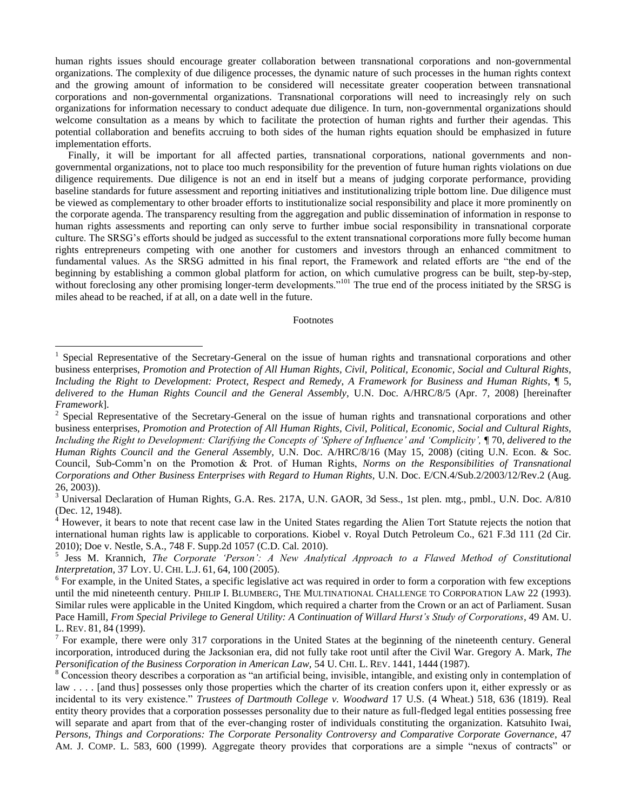human rights issues should encourage greater collaboration between transnational corporations and non-governmental organizations. The complexity of due diligence processes, the dynamic nature of such processes in the human rights context and the growing amount of information to be considered will necessitate greater cooperation between transnational corporations and non-governmental organizations. Transnational corporations will need to increasingly rely on such organizations for information necessary to conduct adequate due diligence. In turn, non-governmental organizations should welcome consultation as a means by which to facilitate the protection of human rights and further their agendas. This potential collaboration and benefits accruing to both sides of the human rights equation should be emphasized in future implementation efforts.

 Finally, it will be important for all affected parties, transnational corporations, national governments and nongovernmental organizations, not to place too much responsibility for the prevention of future human rights violations on due diligence requirements. Due diligence is not an end in itself but a means of judging corporate performance, providing baseline standards for future assessment and reporting initiatives and institutionalizing triple bottom line. Due diligence must be viewed as complementary to other broader efforts to institutionalize social responsibility and place it more prominently on the corporate agenda. The transparency resulting from the aggregation and public dissemination of information in response to human rights assessments and reporting can only serve to further imbue social responsibility in transnational corporate culture. The SRSG"s efforts should be judged as successful to the extent transnational corporations more fully become human rights entrepreneurs competing with one another for customers and investors through an enhanced commitment to fundamental values. As the SRSG admitted in his final report, the Framework and related efforts are "the end of the beginning by establishing a common global platform for action, on which cumulative progress can be built, step-by-step, without foreclosing any other promising longer-term developments."<sup>101</sup> The true end of the process initiated by the SRSG is miles ahead to be reached, if at all, on a date well in the future.

# Footnotes

 $\overline{a}$ 

<sup>1</sup> Special Representative of the Secretary-General on the issue of human rights and transnational corporations and other business enterprises, *Promotion and Protection of All Human Rights, Civil, Political, Economic, Social and Cultural Rights, Including the Right to Development: Protect, Respect and Remedy, A Framework for Business and Human Rights*, ¶ 5, *delivered to the Human Rights Council and the General Assembly,* U.N. Doc. A/HRC/8/5 (Apr. 7, 2008) [hereinafter *Framework*].

 $2^2$  Special Representative of the Secretary-General on the issue of human rights and transnational corporations and other business enterprises, *Promotion and Protection of All Human Rights, Civil, Political, Economic, Social and Cultural Rights, Including the Right to Development: Clarifying the Concepts of 'Sphere of Influence' and 'Complicity',* ¶ 70, *delivered to the Human Rights Council and the General Assembly,* U.N. Doc. A/HRC/8/16 (May 15, 2008) (citing U.N. Econ. & Soc. Council, Sub-Comm"n on the Promotion & Prot. of Human Rights, *Norms on the Responsibilities of Transnational Corporations and Other Business Enterprises with Regard to Human Rights,* U.N. Doc. E/CN.4/Sub.2/2003/12/Rev.2 (Aug. 26, 2003)).

<sup>&</sup>lt;sup>3</sup> Universal Declaration of Human Rights, G.A. Res. 217A, U.N. GAOR, 3d Sess., 1st plen. mtg., pmbl., U.N. Doc. A/810 (Dec. 12, 1948).

<sup>&</sup>lt;sup>4</sup> However, it bears to note that recent case law in the United States regarding the Alien Tort Statute rejects the notion that international human rights law is applicable to corporations. Kiobel v. Royal Dutch Petroleum Co., 621 F.3d 111 (2d Cir. 2010); Doe v. Nestle, S.A., 748 F. Supp.2d 1057 (C.D. Cal. 2010).

<sup>&</sup>lt;sup>5</sup> Jess M. Krannich, *The Corporate 'Person': A New Analytical Approach to a Flawed Method of Constitutional Interpretation,* 37 LOY. U. CHI. L.J. 61, 64, 100 (2005).

<sup>&</sup>lt;sup>6</sup> For example, in the United States, a specific legislative act was required in order to form a corporation with few exceptions until the mid nineteenth century. PHILIP I. BLUMBERG, THE MULTINATIONAL CHALLENGE TO CORPORATION LAW 22 (1993). Similar rules were applicable in the United Kingdom, which required a charter from the Crown or an act of Parliament. Susan Pace Hamill, *From Special Privilege to General Utility: A Continuation of Willard Hurst's Study of Corporations*, 49 AM. U. L. REV. 81, 84 (1999).

 $<sup>7</sup>$  For example, there were only 317 corporations in the United States at the beginning of the nineteenth century. General</sup> incorporation, introduced during the Jacksonian era, did not fully take root until after the Civil War. Gregory A. Mark, *The Personification of the Business Corporation in American Law,* 54 U. CHI. L. REV. 1441, 1444 (1987).

<sup>&</sup>lt;sup>8</sup> Concession theory describes a corporation as "an artificial being, invisible, intangible, and existing only in contemplation of law . . . . [and thus] possesses only those properties which the charter of its creation confers upon it, either expressly or as incidental to its very existence." *Trustees of Dartmouth College v. Woodward* 17 U.S. (4 Wheat.) 518, 636 (1819). Real entity theory provides that a corporation possesses personality due to their nature as full-fledged legal entities possessing free will separate and apart from that of the ever-changing roster of individuals constituting the organization. Katsuhito Iwai, *Persons, Things and Corporations: The Corporate Personality Controversy and Comparative Corporate Governance*, 47 AM. J. COMP. L. 583, 600 (1999). Aggregate theory provides that corporations are a simple "nexus of contracts" or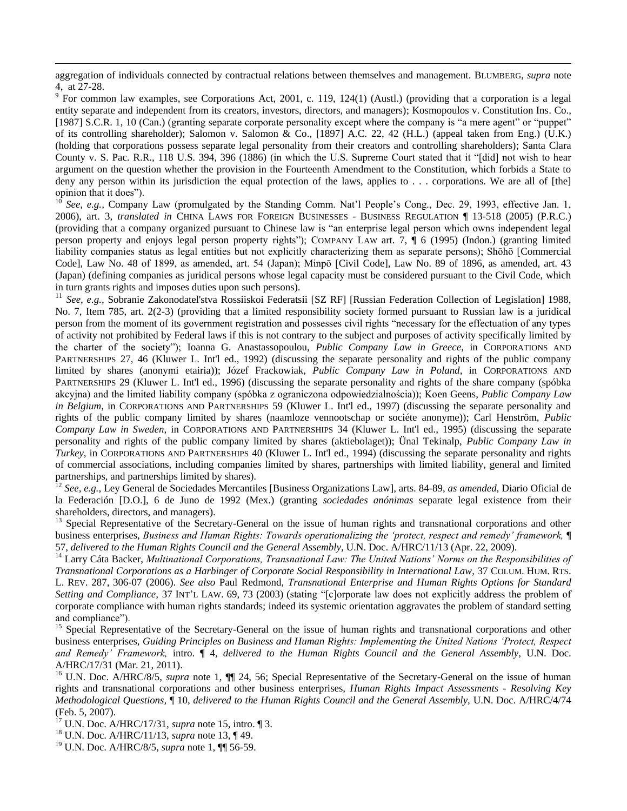aggregation of individuals connected by contractual relations between themselves and management. BLUMBERG, *supra* note 4, at 27-28.

 $9^9$  For common law examples, see Corporations Act, 2001, c. 119, 124(1) (Austl.) (providing that a corporation is a legal entity separate and independent from its creators, investors, directors, and managers); Kosmopoulos v. Constitution Ins. Co., [1987] S.C.R. 1, 10 (Can.) (granting separate corporate personality except where the company is "a mere agent" or "puppet" of its controlling shareholder); Salomon v. Salomon & Co., [1897] A.C. 22, 42 (H.L.) (appeal taken from Eng.) (U.K.) (holding that corporations possess separate legal personality from their creators and controlling shareholders); Santa Clara County v. S. Pac. R.R.*,* 118 U.S. 394, 396 (1886) (in which the U.S. Supreme Court stated that it "[did] not wish to hear argument on the question whether the provision in the Fourteenth Amendment to the Constitution, which forbids a State to deny any person within its jurisdiction the equal protection of the laws, applies to . . . corporations. We are all of [the] opinion that it does").

<sup>10</sup> *See, e.g., Company Law (promulgated by the Standing Comm. Nat'l People's Cong., Dec. 29, 1993, effective Jan. 1,* 2006), art. 3, *translated in* CHINA LAWS FOR FOREIGN BUSINESSES - BUSINESS REGULATION ¶ 13-518 (2005) (P.R.C.) (providing that a company organized pursuant to Chinese law is "an enterprise legal person which owns independent legal person property and enjoys legal person property rights"); COMPANY LAW art. 7, ¶ 6 (1995) (Indon.) (granting limited liability companies status as legal entities but not explicitly characterizing them as separate persons); Shōhō [Commercial Code], Law No. 48 of 1899, as amended, art. 54 (Japan); Minpō [Civil Code], Law No. 89 of 1896, as amended, art. 43 (Japan) (defining companies as juridical persons whose legal capacity must be considered pursuant to the Civil Code, which in turn grants rights and imposes duties upon such persons).

<sup>11</sup> See, e.g., Sobranie Zakonodatel'stva Rossiiskoi Federatsii [SZ RF] [Russian Federation Collection of Legislation] 1988, No. 7, Item 785, art. 2(2-3) (providing that a limited responsibility society formed pursuant to Russian law is a juridical person from the moment of its government registration and possesses civil rights "necessary for the effectuation of any types of activity not prohibited by Federal laws if this is not contrary to the subject and purposes of activity specifically limited by the charter of the society"); Ioanna G. Anastassopoulou, *Public Company Law in Greece*, in CORPORATIONS AND PARTNERSHIPS 27, 46 (Kluwer L. Int'l ed., 1992) (discussing the separate personality and rights of the public company limited by shares (anonymi etairia)); Józef Frackowiak, *Public Company Law in Poland*, in CORPORATIONS AND PARTNERSHIPS 29 (Kluwer L. Int'l ed., 1996) (discussing the separate personality and rights of the share company (spóbka akcyjna) and the limited liability company (spóbka z ograniczona odpowiedzialnościa)); Koen Geens, *Public Company Law in Belgium*, in CORPORATIONS AND PARTNERSHIPS 59 (Kluwer L. Int'l ed., 1997) (discussing the separate personality and rights of the public company limited by shares (naamloze vennootschap or sociéte anonyme)); Carl Henström, *Public Company Law in Sweden*, in CORPORATIONS AND PARTNERSHIPS 34 (Kluwer L. Int'l ed., 1995) (discussing the separate personality and rights of the public company limited by shares (aktiebolaget)); Ünal Tekinalp, *Public Company Law in Turkey*, in CORPORATIONS AND PARTNERSHIPS 40 (Kluwer L. Int'l ed., 1994) (discussing the separate personality and rights of commercial associations, including companies limited by shares, partnerships with limited liability, general and limited partnerships, and partnerships limited by shares).

<sup>12</sup> *See, e.g.,* Ley General de Sociedades Mercantiles [Business Organizations Law], arts. 84-89, *as amended,* Diario Oficial de la Federación [D.O.], 6 de Juno de 1992 (Mex.) (granting *sociedades anónimas* separate legal existence from their shareholders, directors, and managers).

<sup>13</sup> Special Representative of the Secretary-General on the issue of human rights and transnational corporations and other business enterprises, *Business and Human Rights: Towards operationalizing the 'protect, respect and remedy' framework,* ¶ 57, *delivered to the Human Rights Council and the General Assembly,* U.N. Doc. A/HRC/11/13 (Apr. 22, 2009).

<sup>14</sup> Larry Cáta Backer, *Multinational Corporations, Transnational Law: The United Nations' Norms on the Responsibilities of Transnational Corporations as a Harbinger of Corporate Social Responsibility in International Law*, 37 COLUM. HUM. RTS. L. REV. 287, 306-07 (2006). *See also* Paul Redmond, *Transnational Enterprise and Human Rights Options for Standard Setting and Compliance,* 37 INT"L LAW. 69, 73 (2003) (stating "[c]orporate law does not explicitly address the problem of corporate compliance with human rights standards; indeed its systemic orientation aggravates the problem of standard setting and compliance").

<sup>15</sup> Special Representative of the Secretary-General on the issue of human rights and transnational corporations and other business enterprises, *Guiding Principles on Business and Human Rights: Implementing the United Nations 'Protect, Respect and Remedy' Framework,* intro. ¶ 4, *delivered to the Human Rights Council and the General Assembly,* U.N. Doc. A/HRC/17/31 (Mar. 21, 2011).

<sup>16</sup> U.N. Doc. A/HRC/8/5, *supra* note 1,  $\P\P$  24, 56; Special Representative of the Secretary-General on the issue of human rights and transnational corporations and other business enterprises, *Human Rights Impact Assessments - Resolving Key Methodological Questions,* ¶ 10, *delivered to the Human Rights Council and the General Assembly,* U.N. Doc. A/HRC/4/74 (Feb. 5, 2007).

<sup>17</sup> U.N. Doc. A/HRC/17/31, *supra* note 15, intro. ¶ 3.

<sup>18</sup> U.N. Doc. A/HRC/11/13, *supra* note 13, ¶ 49.

 $\overline{a}$ 

<sup>19</sup> U.N. Doc. A/HRC/8/5, *supra* note 1, ¶¶ 56-59.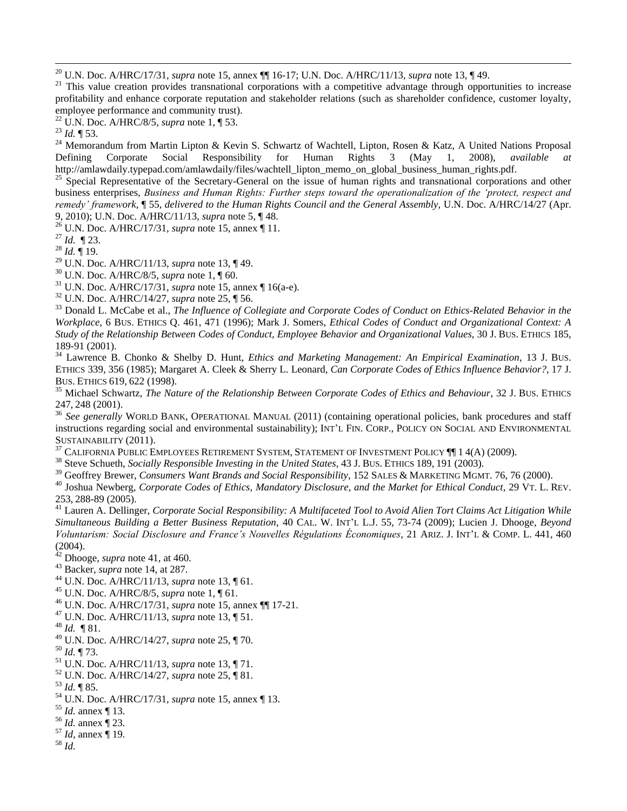<sup>20</sup> U.N. Doc. A/HRC/17/31, *supra* note 15, annex ¶¶ 16-17; U.N. Doc. A/HRC/11/13, *supra* note 13, ¶ 49.

 $21$  This value creation provides transnational corporations with a competitive advantage through opportunities to increase profitability and enhance corporate reputation and stakeholder relations (such as shareholder confidence, customer loyalty, employee performance and community trust).

 $\overline{a}$ 

<sup>24</sup> Memorandum from Martin Lipton & Kevin S. Schwartz of Wachtell, Lipton, Rosen & Katz, A United Nations Proposal Defining Corporate Social Responsibility for Human Rights 3 (May 1, 2008), *available* http://amlawdaily.typepad.com/amlawdaily/files/wachtell\_lipton\_memo\_on\_global\_business\_human\_rights.pdf.

<sup>25</sup> Special Representative of the Secretary-General on the issue of human rights and transnational corporations and other business enterprises, *Business and Human Rights: Further steps toward the operationalization of the 'protect, respect and remedy' framework,* ¶ 55, *delivered to the Human Rights Council and the General Assembly,* U.N. Doc. A/HRC/14/27 (Apr. 9, 2010); U.N. Doc. A/HRC/11/13, *supra* note 5, ¶ 48.

<sup>26</sup> U.N. Doc. A/HRC/17/31, *supra* note 15, annex ¶ 11.

<sup>27</sup> *Id.* ¶ 23.

<sup>28</sup> *Id.* ¶ 19.

<sup>29</sup> U.N. Doc. A/HRC/11/13, *supra* note 13, ¶ 49.

<sup>30</sup> U.N. Doc. A/HRC/8/5, *supra* note 1, ¶ 60.

<sup>31</sup> U.N. Doc. A/HRC/17/31, *supra* note 15, annex ¶ 16(a-e).

<sup>32</sup> U.N. Doc. A/HRC/14/27, *supra* note 25, ¶ 56.

<sup>33</sup> Donald L. McCabe et al., *The Influence of Collegiate and Corporate Codes of Conduct on Ethics-Related Behavior in the Workplace*, 6 BUS. ETHICS Q. 461, 471 (1996); Mark J. Somers, *Ethical Codes of Conduct and Organizational Context: A Study of the Relationship Between Codes of Conduct, Employee Behavior and Organizational Values*, 30 J. BUS. ETHICS 185, 189-91 (2001).

<sup>34</sup> Lawrence B. Chonko & Shelby D. Hunt, *Ethics and Marketing Management: An Empirical Examination*, 13 J. BUS. ETHICS 339, 356 (1985); Margaret A. Cleek & Sherry L. Leonard, *Can Corporate Codes of Ethics Influence Behavior?*, 17 J. BUS. ETHICS 619, 622 (1998).

<sup>35</sup> Michael Schwartz, *The Nature of the Relationship Between Corporate Codes of Ethics and Behaviour*, 32 J. BUS. ETHICS 247, 248 (2001).

<sup>36</sup> See generally WORLD BANK, OPERATIONAL MANUAL (2011) (containing operational policies, bank procedures and staff instructions regarding social and environmental sustainability); INT"L FIN. CORP., POLICY ON SOCIAL AND ENVIRONMENTAL SUSTAINABILITY (2011).

 $37$  California Public Employees Retirement System, Statement of Investment Policy  $\P\P$  14(A) (2009).

<sup>38</sup> Steve Schueth, *Socially Responsible Investing in the United States*, 43 J. BUS. ETHICS 189, 191 (2003).

<sup>39</sup> Geoffrey Brewer, *Consumers Want Brands and Social Responsibility*, 152 SALES & MARKETING MGMT. 76, 76 (2000).

<sup>40</sup> Joshua Newberg, *Corporate Codes of Ethics, Mandatory Disclosure, and the Market for Ethical Conduct*, 29 VT. L. REV. 253, 288-89 (2005).

<sup>41</sup> Lauren A. Dellinger, *Corporate Social Responsibility: A Multifaceted Tool to Avoid Alien Tort Claims Act Litigation While Simultaneous Building a Better Business Reputation*, 40 CAL. W. INT"L L.J. 55, 73-74 (2009); Lucien J. Dhooge, *Beyond Voluntarism: Social Disclosure and France's Nouvelles Régulations Économiques*, 21 ARIZ. J. INT"L & COMP. L. 441, 460 (2004).

<sup>42</sup> Dhooge, *supra* note 41, at 460.

<sup>43</sup> Backer, *supra* note 14, at 287.

- <sup>44</sup> U.N. Doc. A/HRC/11/13, *supra* note 13, ¶ 61.
- <sup>45</sup> U.N. Doc. A/HRC/8/5, *supra* note 1, ¶ 61.
- <sup>46</sup> U.N. Doc. A/HRC/17/31, *supra* note 15, annex ¶¶ 17-21.
- <sup>47</sup> U.N. Doc. A/HRC/11/13, *supra* note 13, ¶ 51.
- <sup>48</sup> *Id.* ¶ 81.
- <sup>49</sup> U.N. Doc. A/HRC/14/27, *supra* note 25, ¶ 70.
- <sup>50</sup> *Id.* ¶ 73.
- <sup>51</sup> U.N. Doc. A/HRC/11/13, *supra* note 13, ¶ 71.
- <sup>52</sup> U.N. Doc. A/HRC/14/27, *supra* note 25, ¶ 81.
- <sup>53</sup> *Id.* ¶ 85.
- <sup>54</sup> U.N. Doc. A/HRC/17/31, *supra* note 15, annex ¶ 13.
- <sup>55</sup> *Id.* annex ¶ 13.
- <sup>56</sup> *Id.* annex ¶ 23.
- <sup>57</sup> *Id,* annex ¶ 19.
- <sup>58</sup> *Id.*

<sup>22</sup> U.N. Doc. A/HRC/8/5, *supra* note 1, ¶ 53.

<sup>23</sup> *Id.* ¶ 53.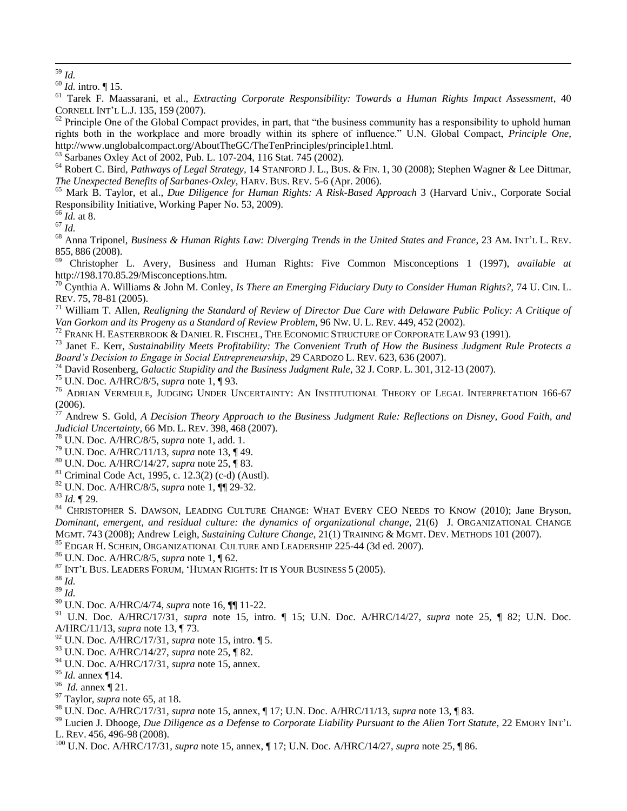$\overline{a}$ 

 Tarek F. Maassarani, et al., *Extracting Corporate Responsibility: Towards a Human Rights Impact Assessment*, 40 CORNELL INT"L L.J. 135, 159 (2007).

 Principle One of the Global Compact provides, in part, that "the business community has a responsibility to uphold human rights both in the workplace and more broadly within its sphere of influence." U.N. Global Compact, *Principle One*, http://www.unglobalcompact.org/AboutTheGC/TheTenPrinciples/principle1.html.

<sup>63</sup> Sarbanes Oxley Act of 2002, Pub. L. 107-204, 116 Stat. 745 (2002).

 Robert C. Bird, *Pathways of Legal Strategy,* 14 STANFORD J. L., BUS. & FIN. 1, 30 (2008); Stephen Wagner & Lee Dittmar, *The Unexpected Benefits of Sarbanes-Oxley*, HARV. BUS. REV. 5-6 (Apr. 2006).

 Mark B. Taylor, et al., *Due Diligence for Human Rights: A Risk-Based Approach* 3 (Harvard Univ., Corporate Social Responsibility Initiative, Working Paper No. 53, 2009).

*Id.* at 8.

 $67 \frac{100}{1}$ 

 Anna Triponel, *Business & Human Rights Law: Diverging Trends in the United States and France*, 23 AM. INT"L L. REV. 855, 886 (2008).

 Christopher L. Avery, Business and Human Rights: Five Common Misconceptions 1 (1997), *available at*  http://198.170.85.29/Misconceptions.htm.

 Cynthia A. Williams & John M. Conley, *Is There an Emerging Fiduciary Duty to Consider Human Rights?,* 74 U. CIN. L. REV. 75, 78-81 (2005).

 William T. Allen, *Realigning the Standard of Review of Director Due Care with Delaware Public Policy: A Critique of Van Gorkom and its Progeny as a Standard of Review Problem*, 96 NW. U. L. REV. 449, 452 (2002).

<sup>72</sup> FRANK H. EASTERBROOK & DANIEL R. FISCHEL, THE ECONOMIC STRUCTURE OF CORPORATE LAW 93 (1991).

 Janet E. Kerr, *Sustainability Meets Profitability: The Convenient Truth of How the Business Judgment Rule Protects a Board's Decision to Engage in Social Entrepreneurship*, 29 CARDOZO L. REV. 623, 636 (2007).

David Rosenberg, *Galactic Stupidity and the Business Judgment Rule*, 32 J. CORP. L. 301, 312-13 (2007).

U.N. Doc. A/HRC/8/5, *supra* note 1, ¶ 93.

<sup>76</sup> ADRIAN VERMEULE, JUDGING UNDER UNCERTAINTY: AN INSTITUTIONAL THEORY OF LEGAL INTERPRETATION 166-67 (2006).

 Andrew S. Gold, *A Decision Theory Approach to the Business Judgment Rule: Reflections on Disney, Good Faith, and Judicial Uncertainty,* 66 MD. L. REV. 398, 468 (2007).

U.N. Doc. A/HRC/8/5, *supra* note 1, add. 1.

U.N. Doc. A/HRC/11/13, *supra* note 13, ¶ 49.

U.N. Doc. A/HRC/14/27, *supra* note 25, ¶ 83.

Criminal Code Act, 1995, c. 12.3(2) (c-d) (Austl).

U.N. Doc. A/HRC/8/5, *supra* note 1, ¶¶ 29-32.

*Id.* ¶ 29.

<sup>84</sup> CHRISTOPHER S. DAWSON, LEADING CULTURE CHANGE: WHAT EVERY CEO NEEDS TO KNOW (2010); Jane Bryson, *Dominant, emergent, and residual culture: the dynamics of organizational change*, 21(6) J. ORGANIZATIONAL CHANGE MGMT. 743 (2008); Andrew Leigh, *Sustaining Culture Change*, 21(1) TRAINING & MGMT. DEV. METHODS 101 (2007).

EDGAR H. SCHEIN, ORGANIZATIONAL CULTURE AND LEADERSHIP 225-44 (3d ed. 2007).

U.N. Doc. A/HRC/8/5, *supra* note 1, ¶ 62.

INT"<sup>L</sup> BUS. LEADERS FORUM, "HUMAN RIGHTS: IT IS YOUR BUSINESS 5 (2005).

*Id.*

*Id.*

U.N. Doc. A/HRC/4/74, *supra* note 16, ¶¶ 11-22.

 U.N. Doc. A/HRC/17/31, *supra* note 15, intro. ¶ 15; U.N. Doc. A/HRC/14/27, *supra* note 25, ¶ 82; U.N. Doc. A/HRC/11/13, *supra* note 13, ¶ 73.

U.N. Doc. A/HRC/17/31, *supra* note 15, intro. ¶ 5.

- U.N. Doc. A/HRC/14/27, *supra* note 25, ¶ 82.
- U.N. Doc. A/HRC/17/31, *supra* note 15, annex.

*Id.* annex ¶14.

*Id.* annex ¶ 21.

Taylor, *supra* note 65, at 18.

- <sup>99</sup> Lucien J. Dhooge, *Due Diligence as a Defense to Corporate Liability Pursuant to the Alien Tort Statute*, 22 EMORY INT'L L. REV. 456, 496-98 (2008).
- U.N. Doc. A/HRC/17/31, *supra* note 15, annex, ¶ 17; U.N. Doc. A/HRC/14/27, *supra* note 25, ¶ 86.

*Id.*

*Id.* intro. ¶ 15.

U.N. Doc. A/HRC/17/31, *supra* note 15, annex, ¶ 17; U.N. Doc. A/HRC/11/13, *supra* note 13, ¶ 83.